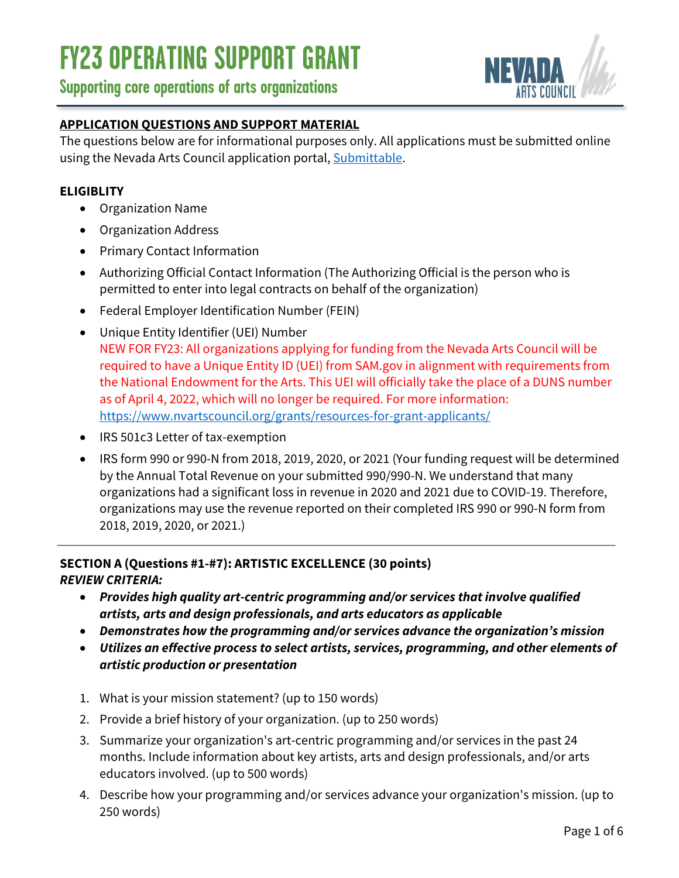### **Supporting core operations of arts organizations**



### **APPLICATION QUESTIONS AND SUPPORT MATERIAL**

The questions below are for informational purposes only. All applications must be submitted online using the Nevada Arts Council application portal, Submittable.

#### **ELIGIBLITY**

- Organization Name
- Organization Address
- Primary Contact Information
- Authorizing Official Contact Information (The Authorizing Official is the person who is permitted to enter into legal contracts on behalf of the organization)
- Federal Employer Identification Number (FEIN)
- Unique Entity Identifier (UEI) Number NEW FOR FY23: All organizations applying for funding from the Nevada Arts Council will be required to have a Unique Entity ID (UEI) from SAM.gov in alignment with requirements from the National Endowment for the Arts. This UEI will officially take the place of a DUNS number as of April 4, 2022, which will no longer be required. For more information: https://www.nvartscouncil.org/grants/resources-for-grant-applicants/
- IRS 501c3 Letter of tax-exemption
- IRS form 990 or 990-N from 2018, 2019, 2020, or 2021 (Your funding request will be determined by the Annual Total Revenue on your submitted 990/990-N. We understand that many organizations had a significant loss in revenue in 2020 and 2021 due to COVID-19. Therefore, organizations may use the revenue reported on their completed IRS 990 or 990-N form from 2018, 2019, 2020, or 2021.)

### **SECTION A (Questions #1-#7): ARTISTIC EXCELLENCE (30 points)** *REVIEW CRITERIA:*

- *Provides high quality art-centric programming and/or services that involve qualified artists, arts and design professionals, and arts educators as applicable*
- *Demonstrates how the programming and/or services advance the organization's mission*
- *Utilizes an effective process to select artists, services, programming, and other elements of artistic production or presentation*
- 1. What is your mission statement? (up to 150 words)
- 2. Provide a brief history of your organization. (up to 250 words)
- 3. Summarize your organization's art-centric programming and/or services in the past 24 months. Include information about key artists, arts and design professionals, and/or arts educators involved. (up to 500 words)
- 4. Describe how your programming and/or services advance your organization's mission. (up to 250 words)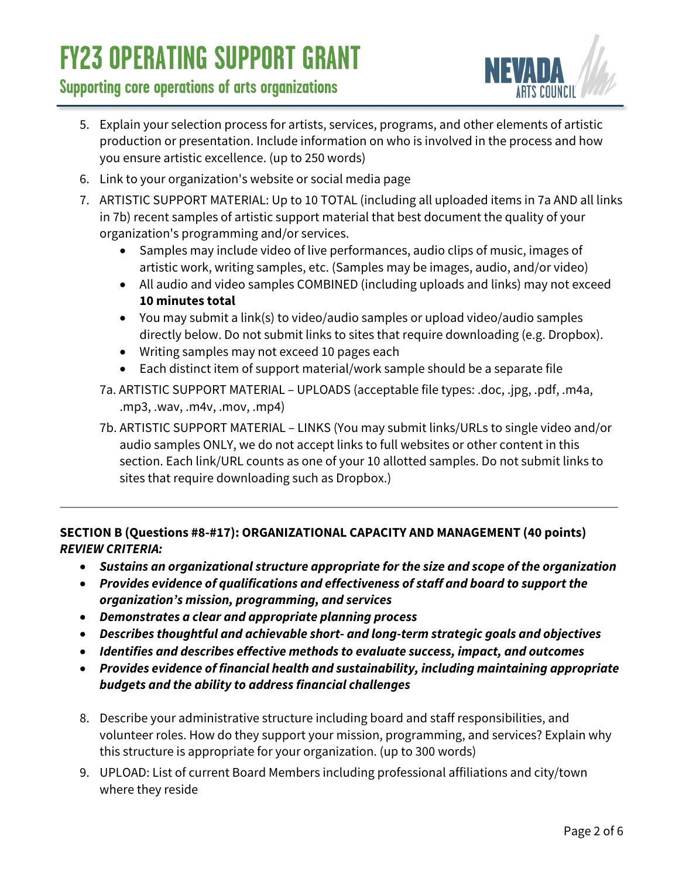# **Supporting core operations of arts organizations**



- 5. Explain your selection process for artists, services, programs, and other elements of artistic production or presentation. Include information on who is involved in the process and how you ensure artistic excellence. (up to 250 words)
- 6. Link to your organization's website or social media page
- 7. ARTISTIC SUPPORT MATERIAL: Up to 10 TOTAL (including all uploaded items in 7a AND all links in 7b) recent samples of artistic support material that best document the quality of your organization's programming and/or services.
	- Samples may include video of live performances, audio clips of music, images of artistic work, writing samples, etc. (Samples may be images, audio, and/or video)
	- All audio and video samples COMBINED (including uploads and links) may not exceed **10 minutes total**
	- You may submit a link(s) to video/audio samples or upload video/audio samples directly below. Do not submit links to sites that require downloading (e.g. Dropbox).
	- Writing samples may not exceed 10 pages each
	- Each distinct item of support material/work sample should be a separate file
	- 7a. ARTISTIC SUPPORT MATERIAL UPLOADS (acceptable file types: .doc, .jpg, .pdf, .m4a, .mp3, .wav, .m4v, .mov, .mp4)
	- 7b. ARTISTIC SUPPORT MATERIAL LINKS (You may submit links/URLs to single video and/or audio samples ONLY, we do not accept links to full websites or other content in this section. Each link/URL counts as one of your 10 allotted samples. Do not submit links to sites that require downloading such as Dropbox.)

### **SECTION B (Questions #8-#17): ORGANIZATIONAL CAPACITY AND MANAGEMENT (40 points)** *REVIEW CRITERIA:*

- *Sustains an organizational structure appropriate for the size and scope of the organization*
- *Provides evidence of qualifications and effectiveness of staff and board to support the organization's mission, programming, and services*
- *Demonstrates a clear and appropriate planning process*
- *Describes thoughtful and achievable short- and long-term strategic goals and objectives*
- *Identifies and describes effective methods to evaluate success, impact, and outcomes*
- *Provides evidence of financial health and sustainability, including maintaining appropriate budgets and the ability to address financial challenges*
- 8. Describe your administrative structure including board and staff responsibilities, and volunteer roles. How do they support your mission, programming, and services? Explain why this structure is appropriate for your organization. (up to 300 words)
- 9. UPLOAD: List of current Board Members including professional affiliations and city/town where they reside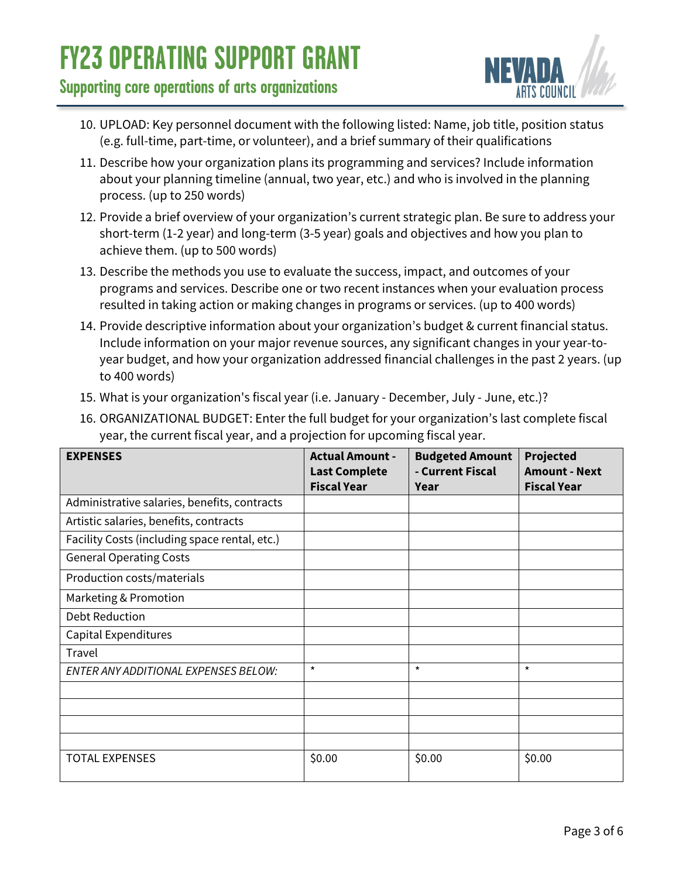# **Supporting core operations of arts organizations**



- 10. UPLOAD: Key personnel document with the following listed: Name, job title, position status (e.g. full-time, part-time, or volunteer), and a brief summary of their qualifications
- 11. Describe how your organization plans its programming and services? Include information about your planning timeline (annual, two year, etc.) and who is involved in the planning process. (up to 250 words)
- 12. Provide a brief overview of your organization's current strategic plan. Be sure to address your short-term (1-2 year) and long-term (3-5 year) goals and objectives and how you plan to achieve them. (up to 500 words)
- 13. Describe the methods you use to evaluate the success, impact, and outcomes of your programs and services. Describe one or two recent instances when your evaluation process resulted in taking action or making changes in programs or services. (up to 400 words)
- 14. Provide descriptive information about your organization's budget & current financial status. Include information on your major revenue sources, any significant changes in your year-toyear budget, and how your organization addressed financial challenges in the past 2 years. (up to 400 words)
- 15. What is your organization's fiscal year (i.e. January December, July June, etc.)?
- 16. ORGANIZATIONAL BUDGET: Enter the full budget for your organization's last complete fiscal year, the current fiscal year, and a projection for upcoming fiscal year.

| <b>EXPENSES</b>                               | <b>Actual Amount -</b> | <b>Budgeted Amount</b> | Projected            |
|-----------------------------------------------|------------------------|------------------------|----------------------|
|                                               | <b>Last Complete</b>   | - Current Fiscal       | <b>Amount - Next</b> |
|                                               | <b>Fiscal Year</b>     | Year                   | <b>Fiscal Year</b>   |
| Administrative salaries, benefits, contracts  |                        |                        |                      |
| Artistic salaries, benefits, contracts        |                        |                        |                      |
| Facility Costs (including space rental, etc.) |                        |                        |                      |
| <b>General Operating Costs</b>                |                        |                        |                      |
| Production costs/materials                    |                        |                        |                      |
| Marketing & Promotion                         |                        |                        |                      |
| <b>Debt Reduction</b>                         |                        |                        |                      |
| Capital Expenditures                          |                        |                        |                      |
| Travel                                        |                        |                        |                      |
| ENTER ANY ADDITIONAL EXPENSES BELOW:          | $\star$                | $\star$                | $\star$              |
|                                               |                        |                        |                      |
|                                               |                        |                        |                      |
|                                               |                        |                        |                      |
|                                               |                        |                        |                      |
| <b>TOTAL EXPENSES</b>                         | \$0.00                 | \$0.00                 | \$0.00               |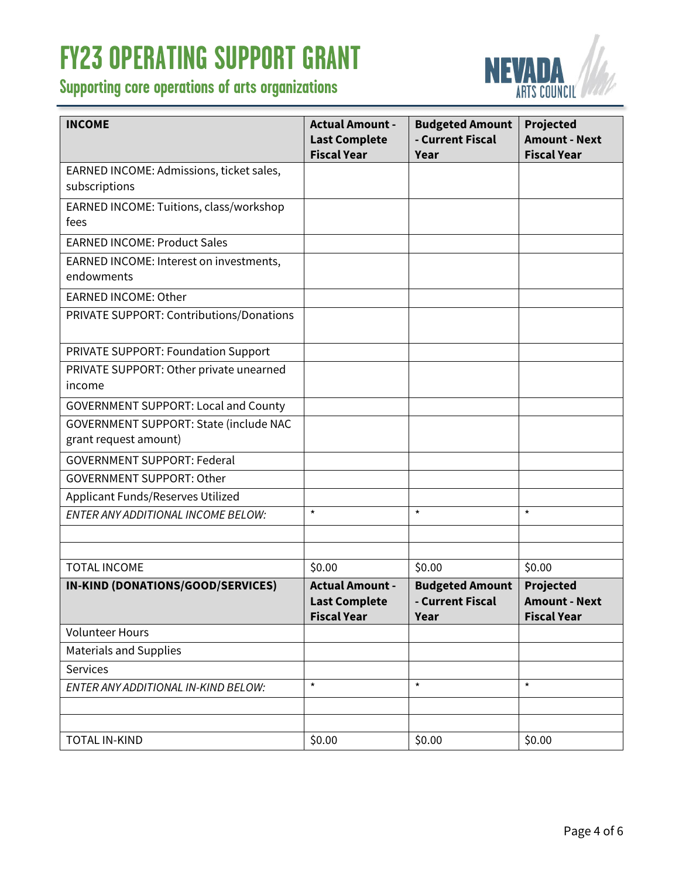# **Supporting core operations of arts organizations**



| <b>INCOME</b>                               | <b>Actual Amount -</b><br><b>Last Complete</b> | <b>Budgeted Amount</b><br>- Current Fiscal | <b>Projected</b><br><b>Amount - Next</b>   |
|---------------------------------------------|------------------------------------------------|--------------------------------------------|--------------------------------------------|
|                                             | <b>Fiscal Year</b>                             | Year                                       | <b>Fiscal Year</b>                         |
| EARNED INCOME: Admissions, ticket sales,    |                                                |                                            |                                            |
| subscriptions                               |                                                |                                            |                                            |
| EARNED INCOME: Tuitions, class/workshop     |                                                |                                            |                                            |
| fees                                        |                                                |                                            |                                            |
| <b>EARNED INCOME: Product Sales</b>         |                                                |                                            |                                            |
| EARNED INCOME: Interest on investments,     |                                                |                                            |                                            |
| endowments                                  |                                                |                                            |                                            |
| <b>EARNED INCOME: Other</b>                 |                                                |                                            |                                            |
| PRIVATE SUPPORT: Contributions/Donations    |                                                |                                            |                                            |
| PRIVATE SUPPORT: Foundation Support         |                                                |                                            |                                            |
| PRIVATE SUPPORT: Other private unearned     |                                                |                                            |                                            |
| income                                      |                                                |                                            |                                            |
| <b>GOVERNMENT SUPPORT: Local and County</b> |                                                |                                            |                                            |
| GOVERNMENT SUPPORT: State (include NAC      |                                                |                                            |                                            |
| grant request amount)                       |                                                |                                            |                                            |
| <b>GOVERNMENT SUPPORT: Federal</b>          |                                                |                                            |                                            |
| <b>GOVERNMENT SUPPORT: Other</b>            |                                                |                                            |                                            |
| Applicant Funds/Reserves Utilized           |                                                |                                            |                                            |
| ENTER ANY ADDITIONAL INCOME BELOW:          | $\star$                                        | $\star$                                    | $\star$                                    |
|                                             |                                                |                                            |                                            |
|                                             |                                                |                                            |                                            |
| <b>TOTAL INCOME</b>                         | \$0.00                                         | \$0.00                                     | \$0.00                                     |
| IN-KIND (DONATIONS/GOOD/SERVICES)           | <b>Actual Amount -</b>                         | <b>Budgeted Amount</b>                     | <b>Projected</b>                           |
|                                             | <b>Last Complete</b><br><b>Fiscal Year</b>     | - Current Fiscal<br>Year                   | <b>Amount - Next</b><br><b>Fiscal Year</b> |
| <b>Volunteer Hours</b>                      |                                                |                                            |                                            |
| <b>Materials and Supplies</b>               |                                                |                                            |                                            |
| Services                                    |                                                |                                            |                                            |
| ENTER ANY ADDITIONAL IN-KIND BELOW:         | $\star$                                        | $\star$                                    | $\star$                                    |
|                                             |                                                |                                            |                                            |
|                                             |                                                |                                            |                                            |
| <b>TOTAL IN-KIND</b>                        | \$0.00                                         | \$0.00                                     | \$0.00                                     |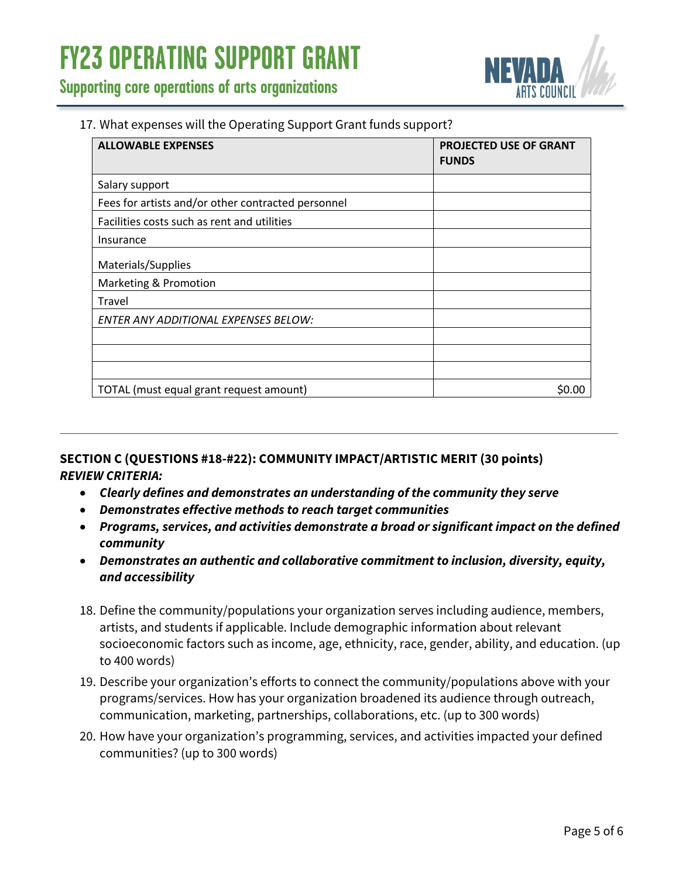

**Supporting core operations of arts organizations**

#### 17. What expenses will the Operating Support Grant funds support?

| <b>ALLOWABLE EXPENSES</b>                          | PROJECTED USE OF GRANT<br><b>FUNDS</b> |
|----------------------------------------------------|----------------------------------------|
| Salary support                                     |                                        |
| Fees for artists and/or other contracted personnel |                                        |
| Facilities costs such as rent and utilities        |                                        |
| Insurance                                          |                                        |
| Materials/Supplies                                 |                                        |
| Marketing & Promotion                              |                                        |
| Travel                                             |                                        |
| <b>ENTER ANY ADDITIONAL EXPENSES BELOW:</b>        |                                        |
|                                                    |                                        |
|                                                    |                                        |
|                                                    |                                        |
| TOTAL (must equal grant request amount)            | S0.00                                  |

#### **SECTION C (QUESTIONS #18-#22): COMMUNITY IMPACT/ARTISTIC MERIT (30 points)** *REVIEW CRITERIA:*

- *Clearly defines and demonstrates an understanding of the community they serve*
- *Demonstrates effective methods to reach target communities*
- *Programs, services, and activities demonstrate a broad or significant impact on the defined community*
- *Demonstrates an authentic and collaborative commitment to inclusion, diversity, equity, and accessibility*
- 18. Define the community/populations your organization serves including audience, members, artists, and students if applicable. Include demographic information about relevant socioeconomic factors such as income, age, ethnicity, race, gender, ability, and education. (up to 400 words)
- 19. Describe your organization's efforts to connect the community/populations above with your programs/services. How has your organization broadened its audience through outreach, communication, marketing, partnerships, collaborations, etc. (up to 300 words)
- 20. How have your organization's programming, services, and activities impacted your defined communities? (up to 300 words)